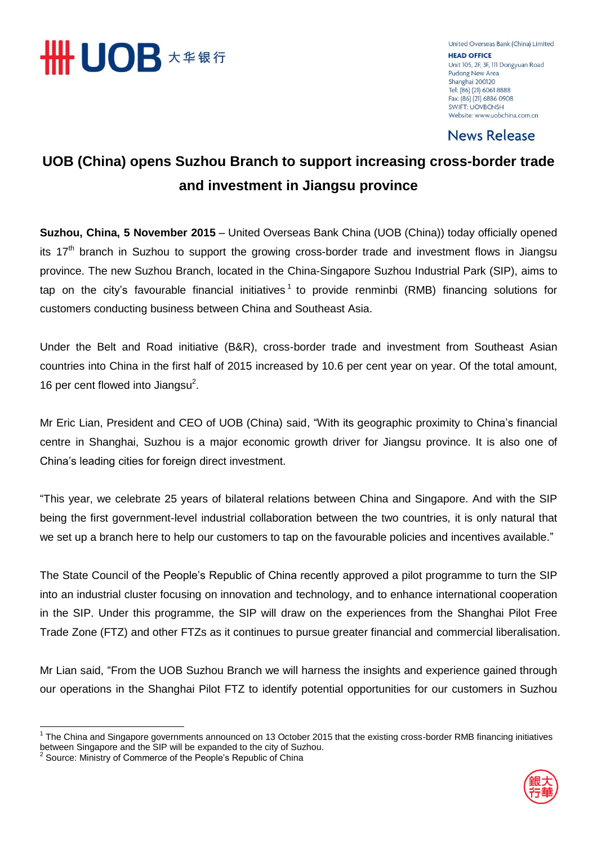

United Overseas Bank (China) Limited **HEAD OFFICE** Unit 105, 2F, 3F, 111 Dongyuan Road Pudong New Area Shanghai 200120 Tel: (86) (21) 6061 8888 Fax: (86) (21) 6886 0908 **SWIFT: UOVBCNSH** Website: www.uobchina.com.cn

**News Release** 

# **UOB (China) opens Suzhou Branch to support increasing cross-border trade and investment in Jiangsu province**

**Suzhou, China, 5 November 2015** – United Overseas Bank China (UOB (China)) today officially opened its  $17<sup>th</sup>$  branch in Suzhou to support the growing cross-border trade and investment flows in Jiangsu province. The new Suzhou Branch, located in the China-Singapore Suzhou Industrial Park (SIP), aims to tap on the city's favourable financial initiatives<sup>1</sup> to provide renminbi (RMB) financing solutions for customers conducting business between China and Southeast Asia.

Under the Belt and Road initiative (B&R), cross-border trade and investment from Southeast Asian countries into China in the first half of 2015 increased by 10.6 per cent year on year. Of the total amount, 16 per cent flowed into Jiangsu<sup>2</sup>.

Mr Eric Lian, President and CEO of UOB (China) said, "With its geographic proximity to China's financial centre in Shanghai, Suzhou is a major economic growth driver for Jiangsu province. It is also one of China's leading cities for foreign direct investment.

"This year, we celebrate 25 years of bilateral relations between China and Singapore. And with the SIP being the first government-level industrial collaboration between the two countries, it is only natural that we set up a branch here to help our customers to tap on the favourable policies and incentives available."

The State Council of the People's Republic of China recently approved a pilot programme to turn the SIP into an industrial cluster focusing on innovation and technology, and to enhance international cooperation in the SIP. Under this programme, the SIP will draw on the experiences from the Shanghai Pilot Free Trade Zone (FTZ) and other FTZs as it continues to pursue greater financial and commercial liberalisation.

Mr Lian said, "From the UOB Suzhou Branch we will harness the insights and experience gained through our operations in the Shanghai Pilot FTZ to identify potential opportunities for our customers in Suzhou



<sup>&</sup>lt;u>.</u> <sup>1</sup> The China and Singapore governments announced on 13 October 2015 that the existing cross-border RMB financing initiatives between Singapore and the SIP will be expanded to the city of Suzhou.<br><sup>2</sup> Seurear Ministry of Commerce of the Peaple's Papublic of China.

Source: Ministry of Commerce of the People's Republic of China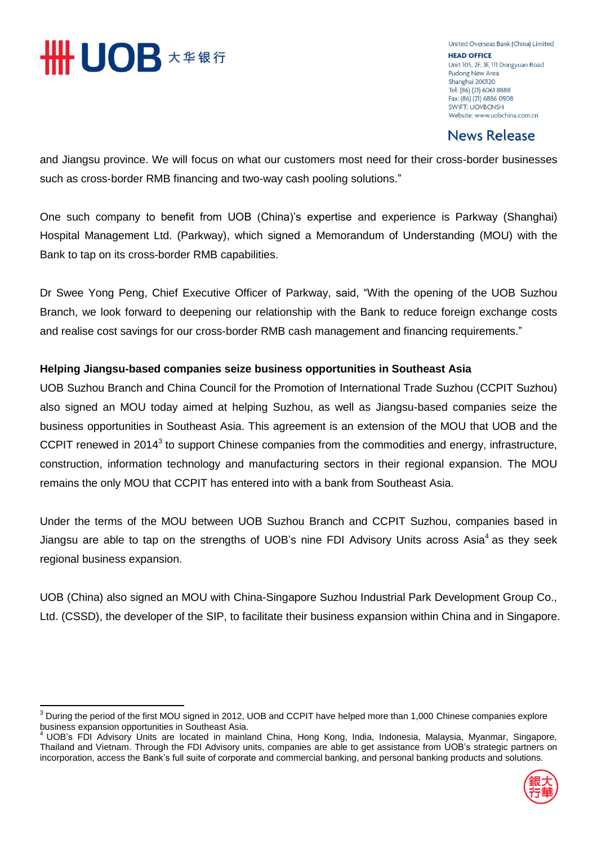

United Overseas Bank (China) Limited **HEAD OFFICE** Unit 105, 2F, 3F, 111 Dongyuan Road Pudong New Area Shanghai 200120 Tel: (86) (21) 6061 8888 Fax: (86) (21) 6886 0908 **SWIFT: UOVBCNSH** Website: www.uobchina.com.cn

### **News Release**

and Jiangsu province. We will focus on what our customers most need for their cross-border businesses such as cross-border RMB financing and two-way cash pooling solutions."

One such company to benefit from UOB (China)'s expertise and experience is Parkway (Shanghai) Hospital Management Ltd. (Parkway), which signed a Memorandum of Understanding (MOU) with the Bank to tap on its cross-border RMB capabilities.

Dr Swee Yong Peng, Chief Executive Officer of Parkway, said, "With the opening of the UOB Suzhou Branch, we look forward to deepening our relationship with the Bank to reduce foreign exchange costs and realise cost savings for our cross-border RMB cash management and financing requirements."

### **Helping Jiangsu-based companies seize business opportunities in Southeast Asia**

UOB Suzhou Branch and China Council for the Promotion of International Trade Suzhou (CCPIT Suzhou) also signed an MOU today aimed at helping Suzhou, as well as Jiangsu-based companies seize the business opportunities in Southeast Asia. This agreement is an extension of the MOU that UOB and the CCPIT renewed in 2014<sup>3</sup> to support Chinese companies from the commodities and energy, infrastructure, construction, information technology and manufacturing sectors in their regional expansion. The MOU remains the only MOU that CCPIT has entered into with a bank from Southeast Asia.

Under the terms of the MOU between UOB Suzhou Branch and CCPIT Suzhou, companies based in Jiangsu are able to tap on the strengths of UOB's nine FDI Advisory Units across Asia<sup>4</sup> as they seek regional business expansion.

UOB (China) also signed an MOU with China-Singapore Suzhou Industrial Park Development Group Co., Ltd. (CSSD), the developer of the SIP, to facilitate their business expansion within China and in Singapore.

<sup>4</sup> UOB's FDI Advisory Units are located in mainland China, Hong Kong, India, Indonesia, Malaysia, Myanmar, Singapore, Thailand and Vietnam. Through the FDI Advisory units, companies are able to get assistance from UOB's strategic partners on incorporation, access the Bank's full suite of corporate and commercial banking, and personal banking products and solutions.



 $\overline{\phantom{a}}$  $^3$  During the period of the first MOU signed in 2012, UOB and CCPIT have helped more than 1,000 Chinese companies explore business expansion opportunities in Southeast Asia.<br>4 LIOR's EDL Advisery Million Coutheast Asia.